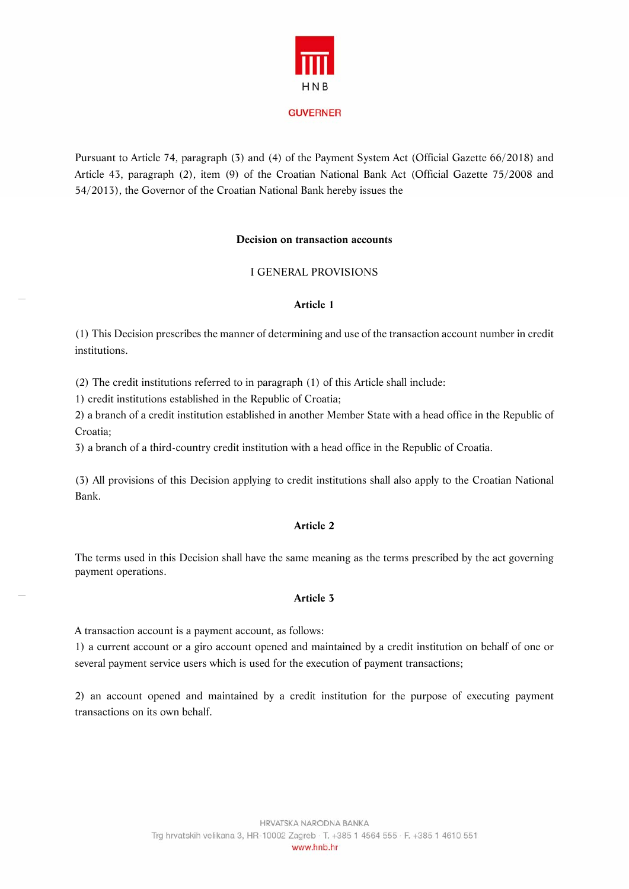

**GUVERNER** 

Pursuant to Article 74, paragraph (3) and (4) of the Payment System Act (Official Gazette 66/2018) and Article 43, paragraph (2), item (9) of the Croatian National Bank Act (Official Gazette 75/2008 and 54/2013), the Governor of the Croatian National Bank hereby issues the

#### **Decision on transaction accounts**

## I GENERAL PROVISIONS

#### **Article 1**

(1) This Decision prescribes the manner of determining and use of the transaction account number in credit institutions.

(2) The credit institutions referred to in paragraph (1) of this Article shall include:

1) credit institutions established in the Republic of Croatia;

2) a branch of a credit institution established in another Member State with a head office in the Republic of Croatia;

3) a branch of a third-country credit institution with a head office in the Republic of Croatia.

(3) All provisions of this Decision applying to credit institutions shall also apply to the Croatian National Bank.

# **Article 2**

The terms used in this Decision shall have the same meaning as the terms prescribed by the act governing payment operations.

## **Article 3**

A transaction account is a payment account, as follows:

1) a current account or a giro account opened and maintained by a credit institution on behalf of one or several payment service users which is used for the execution of payment transactions;

2) an account opened and maintained by a credit institution for the purpose of executing payment transactions on its own behalf.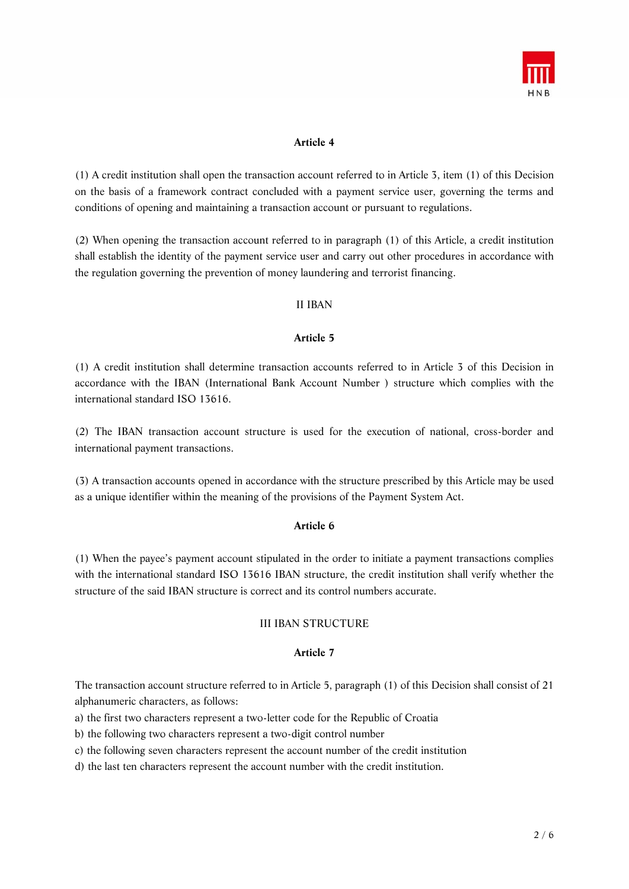

# **Article 4**

(1) A credit institution shall open the transaction account referred to in Article 3, item (1) of this Decision on the basis of a framework contract concluded with a payment service user, governing the terms and conditions of opening and maintaining a transaction account or pursuant to regulations.

(2) When opening the transaction account referred to in paragraph (1) of this Article, a credit institution shall establish the identity of the payment service user and carry out other procedures in accordance with the regulation governing the prevention of money laundering and terrorist financing.

# II IBAN

## **Article 5**

(1) A credit institution shall determine transaction accounts referred to in Article 3 of this Decision in accordance with the IBAN (International Bank Account Number ) structure which complies with the international standard ISO 13616.

(2) The IBAN transaction account structure is used for the execution of national, cross-border and international payment transactions.

(3) A transaction accounts opened in accordance with the structure prescribed by this Article may be used as a unique identifier within the meaning of the provisions of the Payment System Act.

# **Article 6**

(1) When the payee's payment account stipulated in the order to initiate a payment transactions complies with the international standard ISO 13616 IBAN structure, the credit institution shall verify whether the structure of the said IBAN structure is correct and its control numbers accurate.

# III IBAN STRUCTURE

## **Article 7**

The transaction account structure referred to in Article 5, paragraph (1) of this Decision shall consist of 21 alphanumeric characters, as follows:

- a) the first two characters represent a two-letter code for the Republic of Croatia
- b) the following two characters represent a two-digit control number
- c) the following seven characters represent the account number of the credit institution
- d) the last ten characters represent the account number with the credit institution.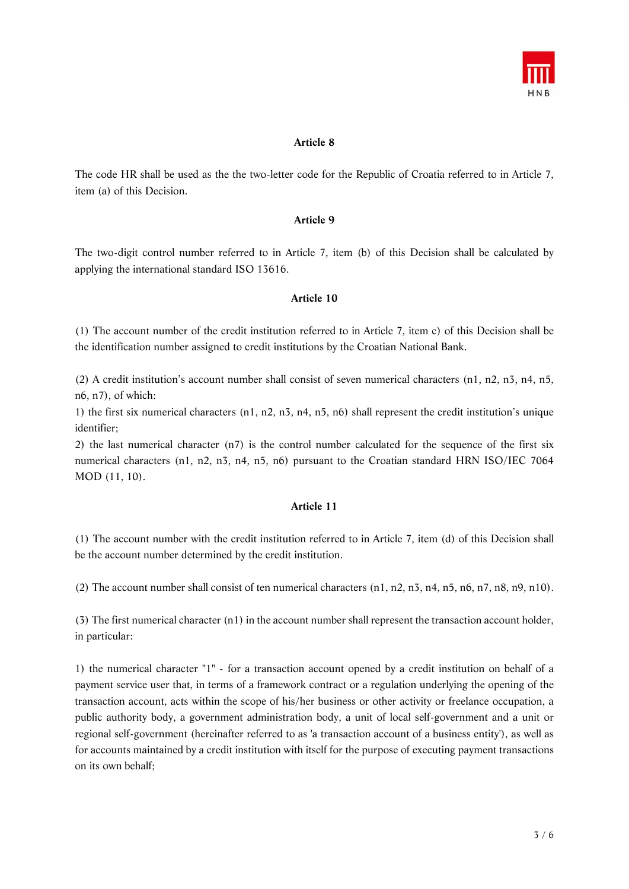

## **Article 8**

The code HR shall be used as the the two-letter code for the Republic of Croatia referred to in Article 7, item (a) of this Decision.

## **Article 9**

The two-digit control number referred to in Article 7, item (b) of this Decision shall be calculated by applying the international standard ISO 13616.

#### **Article 10**

(1) The account number of the credit institution referred to in Article 7, item c) of this Decision shall be the identification number assigned to credit institutions by the Croatian National Bank.

(2) A credit institution's account number shall consist of seven numerical characters (n1, n2, n3, n4, n5, n6, n7), of which:

1) the first six numerical characters (n1, n2, n3, n4, n5, n6) shall represent the credit institution's unique identifier;

2) the last numerical character (n7) is the control number calculated for the sequence of the first six numerical characters (n1, n2, n3, n4, n5, n6) pursuant to the Croatian standard HRN ISO/IEC 7064 MOD (11, 10).

#### **Article 11**

(1) The account number with the credit institution referred to in Article 7, item (d) of this Decision shall be the account number determined by the credit institution.

(2) The account number shall consist of ten numerical characters  $(n1, n2, n3, n4, n5, n6, n7, n8, n9, n10)$ .

(3) The first numerical character (n1) in the account number shall represent the transaction account holder, in particular:

1) the numerical character "1" - for a transaction account opened by a credit institution on behalf of a payment service user that, in terms of a framework contract or a regulation underlying the opening of the transaction account, acts within the scope of his/her business or other activity or freelance occupation, a public authority body, a government administration body, a unit of local self-government and a unit or regional self-government (hereinafter referred to as 'a transaction account of a business entity'), as well as for accounts maintained by a credit institution with itself for the purpose of executing payment transactions on its own behalf;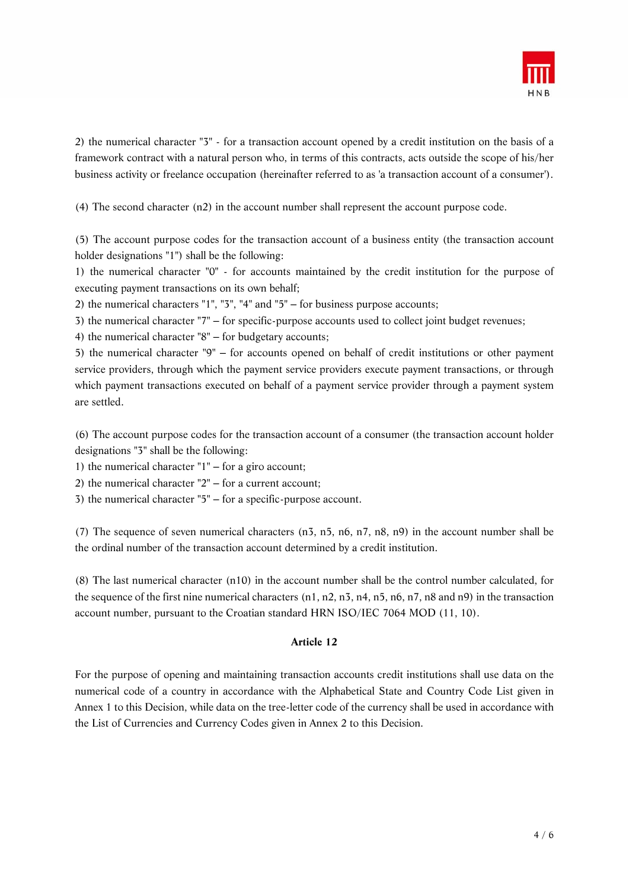

2) the numerical character "3" - for a transaction account opened by a credit institution on the basis of a framework contract with a natural person who, in terms of this contracts, acts outside the scope of his/her business activity or freelance occupation (hereinafter referred to as 'a transaction account of a consumer').

(4) The second character (n2) in the account number shall represent the account purpose code.

(5) The account purpose codes for the transaction account of a business entity (the transaction account holder designations "1") shall be the following:

1) the numerical character "0" - for accounts maintained by the credit institution for the purpose of executing payment transactions on its own behalf;

2) the numerical characters  $"1", "3", "4"$  and  $"5"$  – for business purpose accounts;

3) the numerical character "7" – for specific-purpose accounts used to collect joint budget revenues;

4) the numerical character  $"8"$  – for budgetary accounts;

5) the numerical character "9" ‒ for accounts opened on behalf of credit institutions or other payment service providers, through which the payment service providers execute payment transactions, or through which payment transactions executed on behalf of a payment service provider through a payment system are settled.

(6) The account purpose codes for the transaction account of a consumer (the transaction account holder designations "3" shall be the following:

1) the numerical character  $"1"$  – for a giro account;

2) the numerical character  $"2"$  – for a current account;

 $3)$  the numerical character " $5$ "  $-$  for a specific-purpose account.

(7) The sequence of seven numerical characters (n3, n5, n6, n7, n8, n9) in the account number shall be the ordinal number of the transaction account determined by a credit institution.

(8) The last numerical character (n10) in the account number shall be the control number calculated, for the sequence of the first nine numerical characters (n1, n2, n3, n4, n5, n6, n7, n8 and n9) in the transaction account number, pursuant to the Croatian standard HRN ISO/IEC 7064 MOD (11, 10).

# **Article 12**

For the purpose of opening and maintaining transaction accounts credit institutions shall use data on the numerical code of a country in accordance with the Alphabetical State and Country Code List given in Annex 1 to this Decision, while data on the tree-letter code of the currency shall be used in accordance with the List of Currencies and Currency Codes given in Annex 2 to this Decision.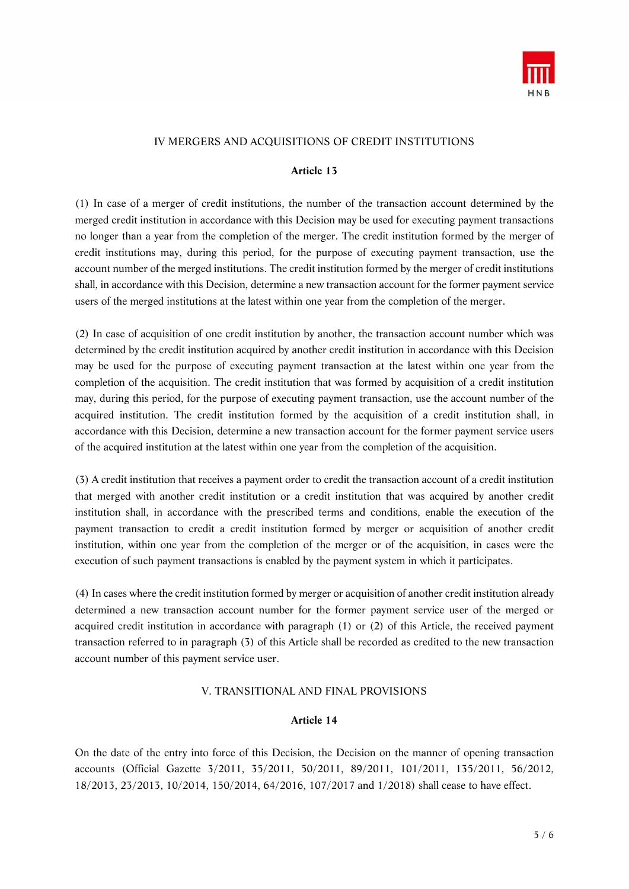

# IV MERGERS AND ACQUISITIONS OF CREDIT INSTITUTIONS

#### **Article 13**

(1) In case of a merger of credit institutions, the number of the transaction account determined by the merged credit institution in accordance with this Decision may be used for executing payment transactions no longer than a year from the completion of the merger. The credit institution formed by the merger of credit institutions may, during this period, for the purpose of executing payment transaction, use the account number of the merged institutions. The credit institution formed by the merger of credit institutions shall, in accordance with this Decision, determine a new transaction account for the former payment service users of the merged institutions at the latest within one year from the completion of the merger.

(2) In case of acquisition of one credit institution by another, the transaction account number which was determined by the credit institution acquired by another credit institution in accordance with this Decision may be used for the purpose of executing payment transaction at the latest within one year from the completion of the acquisition. The credit institution that was formed by acquisition of a credit institution may, during this period, for the purpose of executing payment transaction, use the account number of the acquired institution. The credit institution formed by the acquisition of a credit institution shall, in accordance with this Decision, determine a new transaction account for the former payment service users of the acquired institution at the latest within one year from the completion of the acquisition.

(3) A credit institution that receives a payment order to credit the transaction account of a credit institution that merged with another credit institution or a credit institution that was acquired by another credit institution shall, in accordance with the prescribed terms and conditions, enable the execution of the payment transaction to credit a credit institution formed by merger or acquisition of another credit institution, within one year from the completion of the merger or of the acquisition, in cases were the execution of such payment transactions is enabled by the payment system in which it participates.

(4) In cases where the credit institution formed by merger or acquisition of another credit institution already determined a new transaction account number for the former payment service user of the merged or acquired credit institution in accordance with paragraph (1) or (2) of this Article, the received payment transaction referred to in paragraph (3) of this Article shall be recorded as credited to the new transaction account number of this payment service user.

## V. TRANSITIONAL AND FINAL PROVISIONS

#### **Article 14**

On the date of the entry into force of this Decision, the Decision on the manner of opening transaction accounts (Official Gazette 3/2011, 35/2011, 50/2011, 89/2011, 101/2011, 135/2011, 56/2012, 18/2013, 23/2013, 10/2014, 150/2014, 64/2016, 107/2017 and 1/2018) shall cease to have effect.